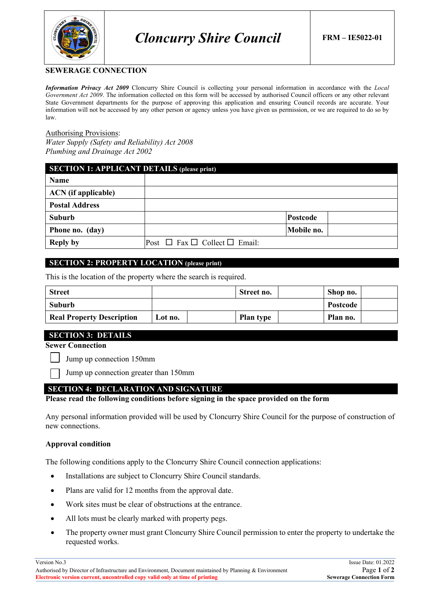

### **SEWERAGE CONNECTION**

*Information Privacy Act 2009* Cloncurry Shire Council is collecting your personal information in accordance with the *Local Government Act 2009*. The information collected on this form will be accessed by authorised Council officers or any other relevant State Government departments for the purpose of approving this application and ensuring Council records are accurate. Your information will not be accessed by any other person or agency unless you have given us permission, or we are required to do so by law.

### Authorising Provisions:

*Water Supply (Safety and Reliability) Act 2008 Plumbing and Drainage Act 2002*

| <b>SECTION 1: APPLICANT DETAILS (please print)</b> |                                              |            |  |
|----------------------------------------------------|----------------------------------------------|------------|--|
| Name                                               |                                              |            |  |
| <b>ACN</b> (if applicable)                         |                                              |            |  |
| <b>Postal Address</b>                              |                                              |            |  |
| <b>Suburb</b>                                      |                                              | Postcode   |  |
| Phone no. (day)                                    |                                              | Mobile no. |  |
| <b>Reply by</b>                                    | Post $\Box$ Fax $\Box$ Collect $\Box$ Email: |            |  |

## **SECTION 2: PROPERTY LOCATION (please print)**

This is the location of the property where the search is required.

| <b>Street</b>                    |          |  | Street no.       | Shop no. |  |
|----------------------------------|----------|--|------------------|----------|--|
| Suburb                           | Postcode |  |                  |          |  |
| <b>Real Property Description</b> | Lot no.  |  | <b>Plan type</b> | Plan no. |  |

### **SECTION 3: DETAILS**

**Sewer Connection**

Jump up connection 150mm

Jump up connection greater than 150mm

## **SECTION 4: DECLARATION AND SIGNATURE**

**Please read the following conditions before signing in the space provided on the form**

Any personal information provided will be used by Cloncurry Shire Council for the purpose of construction of new connections.

### **Approval condition**

The following conditions apply to the Cloncurry Shire Council connection applications:

- Installations are subject to Cloncurry Shire Council standards.
- Plans are valid for 12 months from the approval date.
- Work sites must be clear of obstructions at the entrance.
- All lots must be clearly marked with property pegs.
- The property owner must grant Cloncurry Shire Council permission to enter the property to undertake the requested works.